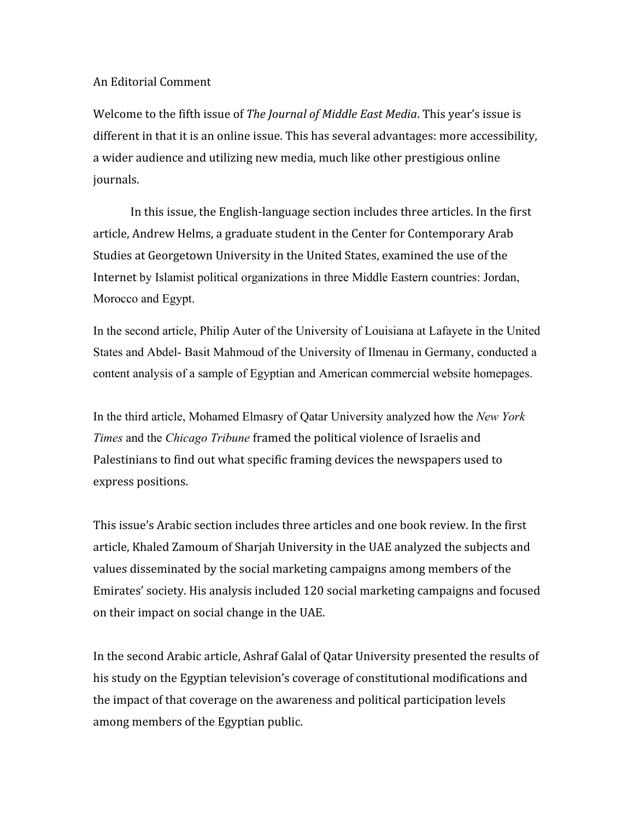## An Editorial Comment

Welcome to the fifth issue of *The Journal of Middle East Media*. This year's issue is different in that it is an online issue. This has several advantages: more accessibility, a wider audience and utilizing new media, much like other prestigious online journals.

In this issue, the English‐language section includes three articles. In the first article, Andrew Helms, a graduate student in the Center for Contemporary Arab Studies at Georgetown University in the United States, examined the use of the Internet by Islamist political organizations in three Middle Eastern countries: Jordan, Morocco and Egypt.

In the second article, Philip Auter of the University of Louisiana at Lafayete in the United States and Abdel- Basit Mahmoud of the University of Ilmenau in Germany, conducted a content analysis of a sample of Egyptian and American commercial website homepages.

In the third article, Mohamed Elmasry of Qatar University analyzed how the *New York Times* and the *Chicago Tribune* framed the political violence of Israelis and Palestinians to find out what specific framing devices the newspapers used to express positions.

This issue's Arabic section includes three articles and one book review. In the first article, Khaled Zamoum of Sharjah University in the UAE analyzed the subjects and values disseminated by the social marketing campaigns among members of the Emirates' society. His analysis included 120 social marketing campaigns and focused on their impact on social change in the UAE.

In the second Arabic article, Ashraf Galal of Qatar University presented the results of his study on the Egyptian television's coverage of constitutional modifications and the impact of that coverage on the awareness and political participation levels among members of the Egyptian public.